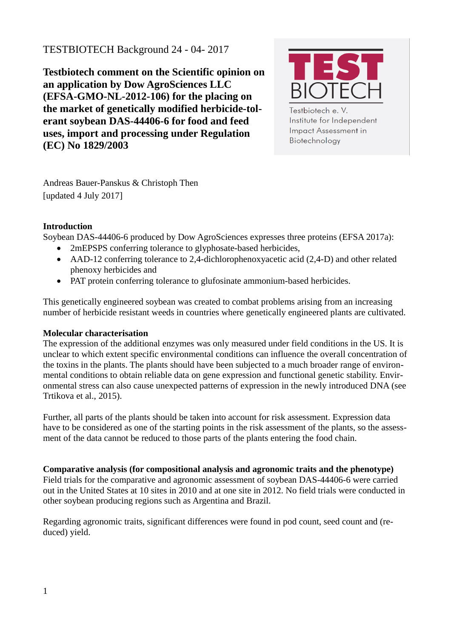# TESTBIOTECH Background 24 - 04- 2017

**Testbiotech comment on the Scientific opinion on an application by Dow AgroSciences LLC (EFSA-GMO-NL-2012-106) for the placing on the market of genetically modified herbicide-tolerant soybean DAS-44406-6 for food and feed uses, import and processing under Regulation (EC) No 1829/2003**



Testbiotech e. V. Institute for Independent Impact Assessment in Biotechnology

Andreas Bauer-Panskus & Christoph Then [updated 4 July 2017]

## **Introduction**

Soybean DAS-44406-6 produced by Dow AgroSciences expresses three proteins (EFSA 2017a):

- 2mEPSPS conferring tolerance to glyphosate-based herbicides,
- AAD-12 conferring tolerance to 2,4-dichlorophenoxyacetic acid (2,4-D) and other related phenoxy herbicides and
- PAT protein conferring tolerance to glufosinate ammonium-based herbicides.

This genetically engineered soybean was created to combat problems arising from an increasing number of herbicide resistant weeds in countries where genetically engineered plants are cultivated.

# **Molecular characterisation**

The expression of the additional enzymes was only measured under field conditions in the US. It is unclear to which extent specific environmental conditions can influence the overall concentration of the toxins in the plants. The plants should have been subjected to a much broader range of environmental conditions to obtain reliable data on gene expression and functional genetic stability. Environmental stress can also cause unexpected patterns of expression in the newly introduced DNA (see Trtikova et al., 2015).

Further, all parts of the plants should be taken into account for risk assessment. Expression data have to be considered as one of the starting points in the risk assessment of the plants, so the assessment of the data cannot be reduced to those parts of the plants entering the food chain.

**Comparative analysis (for compositional analysis and agronomic traits and the phenotype)** Field trials for the comparative and agronomic assessment of soybean DAS-44406-6 were carried out in the United States at 10 sites in 2010 and at one site in 2012. No field trials were conducted in other soybean producing regions such as Argentina and Brazil.

Regarding agronomic traits, significant differences were found in pod count, seed count and (reduced) yield.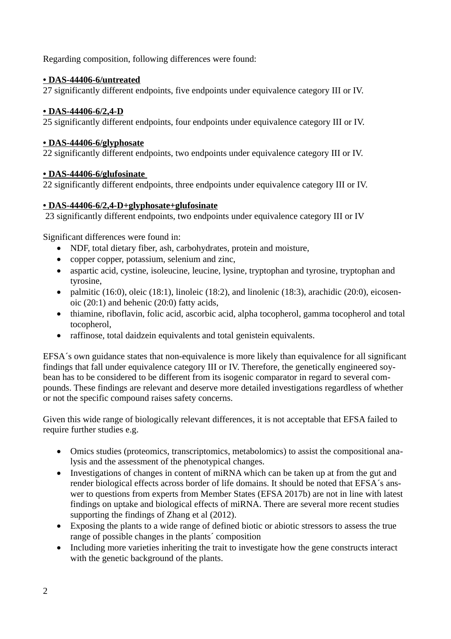Regarding composition, following differences were found:

## **•DAS-44406-6/untreated**

27 significantly different endpoints, five endpoints under equivalence category III or IV.

#### **•DAS-44406-6/2,4-D**

25 significantly different endpoints, four endpoints under equivalence category III or IV.

#### **•DAS-44406-6/glyphosate**

22 significantly different endpoints, two endpoints under equivalence category III or IV.

## **•DAS-44406-6/glufosinate**

22 significantly different endpoints, three endpoints under equivalence category III or IV.

## **•DAS-44406-6/2,4-D+glyphosate+glufosinate**

23 significantly different endpoints, two endpoints under equivalence category III or IV

Significant differences were found in:

- NDF, total dietary fiber, ash, carbohydrates, protein and moisture,
- copper copper, potassium, selenium and zinc,
- aspartic acid, cystine, isoleucine, leucine, lysine, tryptophan and tyrosine, tryptophan and tyrosine,
- palmitic (16:0), oleic (18:1), linoleic (18:2), and linolenic (18:3), arachidic (20:0), eicosenoic (20:1) and behenic (20:0) fatty acids,
- thiamine, riboflavin, folic acid, ascorbic acid, alpha tocopherol, gamma tocopherol and total tocopherol,
- raffinose, total daidzein equivalents and total genistein equivalents.

EFSA´s own guidance states that non-equivalence is more likely than equivalence for all significant findings that fall under equivalence category III or IV. Therefore, the genetically engineered soybean has to be considered to be different from its isogenic comparator in regard to several compounds. These findings are relevant and deserve more detailed investigations regardless of whether or not the specific compound raises safety concerns.

Given this wide range of biologically relevant differences, it is not acceptable that EFSA failed to require further studies e.g.

- Omics studies (proteomics, transcriptomics, metabolomics) to assist the compositional analysis and the assessment of the phenotypical changes.
- Investigations of changes in content of miRNA which can be taken up at from the gut and render biological effects across border of life domains. It should be noted that EFSA´s answer to questions from experts from Member States (EFSA 2017b) are not in line with latest findings on uptake and biological effects of miRNA. There are several more recent studies supporting the findings of Zhang et al (2012).
- Exposing the plants to a wide range of defined biotic or abiotic stressors to assess the true range of possible changes in the plants´ composition
- Including more varieties inheriting the trait to investigate how the gene constructs interact with the genetic background of the plants.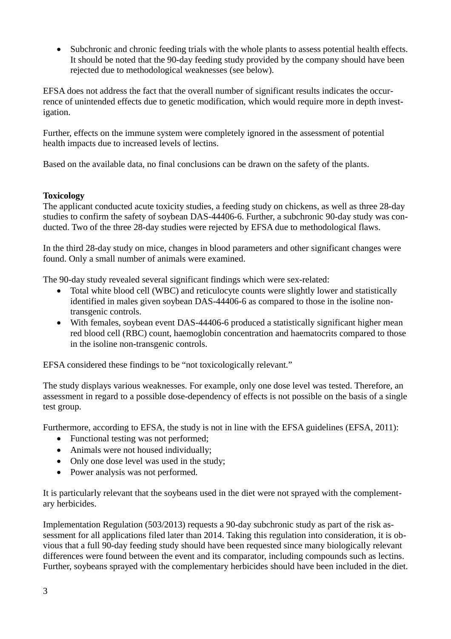• Subchronic and chronic feeding trials with the whole plants to assess potential health effects. It should be noted that the 90-day feeding study provided by the company should have been rejected due to methodological weaknesses (see below).

EFSA does not address the fact that the overall number of significant results indicates the occurrence of unintended effects due to genetic modification, which would require more in depth investigation.

Further, effects on the immune system were completely ignored in the assessment of potential health impacts due to increased levels of lectins.

Based on the available data, no final conclusions can be drawn on the safety of the plants.

# **Toxicology**

The applicant conducted acute toxicity studies, a feeding study on chickens, as well as three 28-day studies to confirm the safety of soybean DAS-44406-6. Further, a subchronic 90-day study was conducted. Two of the three 28-day studies were rejected by EFSA due to methodological flaws.

In the third 28-day study on mice, changes in blood parameters and other significant changes were found. Only a small number of animals were examined.

The 90-day study revealed several significant findings which were sex-related:

- Total white blood cell (WBC) and reticulocyte counts were slightly lower and statistically identified in males given soybean DAS-44406-6 as compared to those in the isoline nontransgenic controls.
- With females, soybean event DAS-44406-6 produced a statistically significant higher mean red blood cell (RBC) count, haemoglobin concentration and haematocrits compared to those in the isoline non-transgenic controls.

EFSA considered these findings to be "not toxicologically relevant."

The study displays various weaknesses. For example, only one dose level was tested. Therefore, an assessment in regard to a possible dose-dependency of effects is not possible on the basis of a single test group.

Furthermore, according to EFSA, the study is not in line with the EFSA guidelines (EFSA, 2011):

- Functional testing was not performed:
- Animals were not housed individually;
- Only one dose level was used in the study;
- Power analysis was not performed.

It is particularly relevant that the soybeans used in the diet were not sprayed with the complementary herbicides.

Implementation Regulation (503/2013) requests a 90-day subchronic study as part of the risk assessment for all applications filed later than 2014. Taking this regulation into consideration, it is obvious that a full 90-day feeding study should have been requested since many biologically relevant differences were found between the event and its comparator, including compounds such as lectins. Further, soybeans sprayed with the complementary herbicides should have been included in the diet.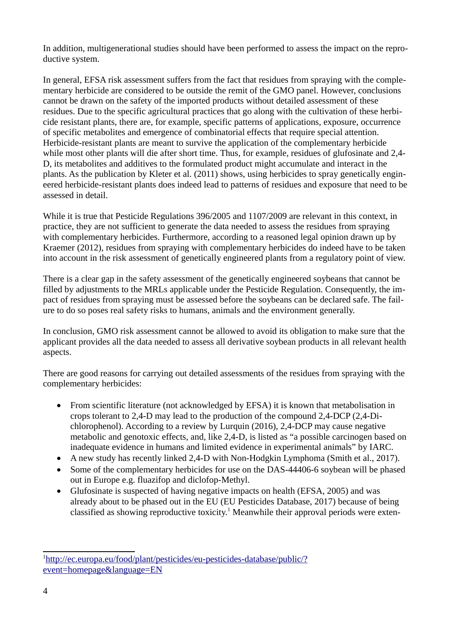In addition, multigenerational studies should have been performed to assess the impact on the reproductive system.

In general, EFSA risk assessment suffers from the fact that residues from spraying with the complementary herbicide are considered to be outside the remit of the GMO panel. However, conclusions cannot be drawn on the safety of the imported products without detailed assessment of these residues. Due to the specific agricultural practices that go along with the cultivation of these herbicide resistant plants, there are, for example, specific patterns of applications, exposure, occurrence of specific metabolites and emergence of combinatorial effects that require special attention. Herbicide-resistant plants are meant to survive the application of the complementary herbicide while most other plants will die after short time. Thus, for example, residues of glufosinate and 2,4- D, its metabolites and additives to the formulated product might accumulate and interact in the plants. As the publication by Kleter et al. (2011) shows, using herbicides to spray genetically engineered herbicide-resistant plants does indeed lead to patterns of residues and exposure that need to be assessed in detail.

While it is true that Pesticide Regulations 396/2005 and 1107/2009 are relevant in this context, in practice, they are not sufficient to generate the data needed to assess the residues from spraying with complementary herbicides. Furthermore, according to a reasoned legal opinion drawn up by Kraemer (2012), residues from spraying with complementary herbicides do indeed have to be taken into account in the risk assessment of genetically engineered plants from a regulatory point of view.

There is a clear gap in the safety assessment of the genetically engineered soybeans that cannot be filled by adjustments to the MRLs applicable under the Pesticide Regulation. Consequently, the impact of residues from spraying must be assessed before the soybeans can be declared safe. The failure to do so poses real safety risks to humans, animals and the environment generally.

In conclusion, GMO risk assessment cannot be allowed to avoid its obligation to make sure that the applicant provides all the data needed to assess all derivative soybean products in all relevant health aspects.

There are good reasons for carrying out detailed assessments of the residues from spraying with the complementary herbicides:

- From scientific literature (not acknowledged by EFSA) it is known that metabolisation in crops tolerant to 2,4-D may lead to the production of the compound 2,4-DCP (2,4-Dichlorophenol). According to a review by Lurquin (2016), 2,4-DCP may cause negative metabolic and genotoxic effects, and, like 2,4-D, is listed as "a possible carcinogen based on inadequate evidence in humans and limited evidence in experimental animals" by IARC.
- A new study has recently linked 2,4-D with Non-Hodgkin Lymphoma (Smith et al., 2017).
- Some of the complementary herbicides for use on the DAS-44406-6 sovbean will be phased out in Europe e.g. fluazifop and diclofop-Methyl.
- Glufosinate is suspected of having negative impacts on health (EFSA, 2005) and was already about to be phased out in the EU (EU Pesticides Database, 2017) because of being classified as showing reproductive toxicity.<sup>[1](#page-3-0)</sup> Meanwhile their approval periods were exten-

<span id="page-3-0"></span><sup>&</sup>lt;sup>1</sup>[http://ec.europa.eu/food/plant/pesticides/eu-pesticides-database/public/?](http://ec.europa.eu/food/plant/pesticides/eu-pesticides-database/public/?event=homepage&language=EN) [event=homepage&language=EN](http://ec.europa.eu/food/plant/pesticides/eu-pesticides-database/public/?event=homepage&language=EN)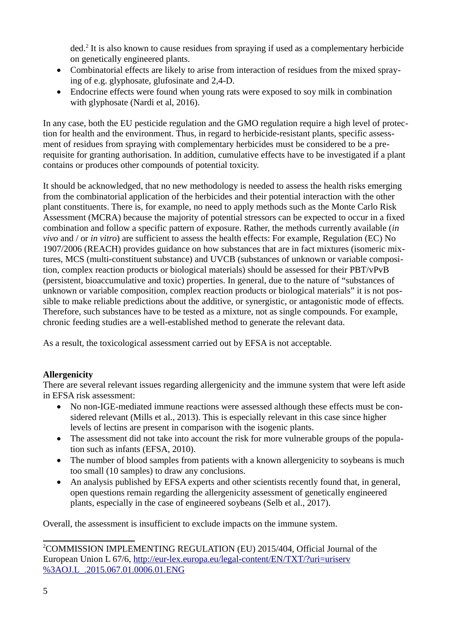ded.<sup>[2](#page-4-0)</sup> It is also known to cause residues from spraying if used as a complementary herbicide on genetically engineered plants.

- Combinatorial effects are likely to arise from interaction of residues from the mixed spraying of e.g. glyphosate, glufosinate and 2,4-D.
- Endocrine effects were found when young rats were exposed to soy milk in combination with glyphosate (Nardi et al, 2016).

In any case, both the EU pesticide regulation and the GMO regulation require a high level of protection for health and the environment. Thus, in regard to herbicide-resistant plants, specific assessment of residues from spraying with complementary herbicides must be considered to be a prerequisite for granting authorisation. In addition, cumulative effects have to be investigated if a plant contains or produces other compounds of potential toxicity.

It should be acknowledged, that no new methodology is needed to assess the health risks emerging from the combinatorial application of the herbicides and their potential interaction with the other plant constituents. There is, for example, no need to apply methods such as the Monte Carlo Risk Assessment (MCRA) because the majority of potential stressors can be expected to occur in a fixed combination and follow a specific pattern of exposure. Rather, the methods currently available (*in vivo* and / or *in vitro*) are sufficient to assess the health effects: For example, Regulation (EC) No 1907/2006 (REACH) provides guidance on how substances that are in fact mixtures (isomeric mixtures, MCS (multi-constituent substance) and UVCB (substances of unknown or variable composition, complex reaction products or biological materials) should be assessed for their PBT/vPvB (persistent, bioaccumulative and toxic) properties. In general, due to the nature of "substances of unknown or variable composition, complex reaction products or biological materials" it is not possible to make reliable predictions about the additive, or synergistic, or antagonistic mode of effects. Therefore, such substances have to be tested as a mixture, not as single compounds. For example, chronic feeding studies are a well-established method to generate the relevant data.

As a result, the toxicological assessment carried out by EFSA is not acceptable.

# **Allergenicity**

There are several relevant issues regarding allergenicity and the immune system that were left aside in EFSA risk assessment:

- No non-IGE-mediated immune reactions were assessed although these effects must be considered relevant (Mills et al., 2013). This is especially relevant in this case since higher levels of lectins are present in comparison with the isogenic plants.
- The assessment did not take into account the risk for more vulnerable groups of the population such as infants (EFSA, 2010).
- The number of blood samples from patients with a known allergenicity to soybeans is much too small (10 samples) to draw any conclusions.
- An analysis published by EFSA experts and other scientists recently found that, in general, open questions remain regarding the allergenicity assessment of genetically engineered plants, especially in the case of engineered soybeans (Selb et al., 2017).

Overall, the assessment is insufficient to exclude impacts on the immune system.

<span id="page-4-0"></span><sup>&</sup>lt;sup>2</sup>COMMISSION IMPLEMENTING REGULATION (EU) 2015/404, Official Journal of the European Union L 67/6, [http://eur-lex.europa.eu/legal-content/EN/TXT/?uri=uriserv](http://eur-lex.europa.eu/legal-content/EN/TXT/?uri=uriserv%3AOJ.L_.2015.067.01.0006.01.ENG) [%3AOJ.L\\_.2015.067.01.0006.01.ENG](http://eur-lex.europa.eu/legal-content/EN/TXT/?uri=uriserv%3AOJ.L_.2015.067.01.0006.01.ENG)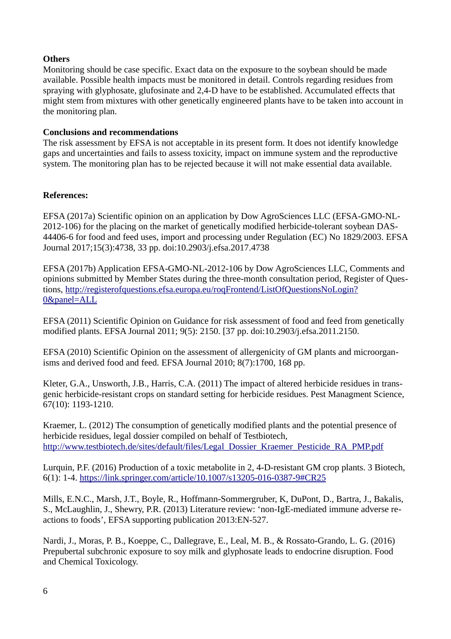## **Others**

Monitoring should be case specific. Exact data on the exposure to the soybean should be made available. Possible health impacts must be monitored in detail. Controls regarding residues from spraying with glyphosate, glufosinate and 2,4-D have to be established. Accumulated effects that might stem from mixtures with other genetically engineered plants have to be taken into account in the monitoring plan.

#### **Conclusions and recommendations**

The risk assessment by EFSA is not acceptable in its present form. It does not identify knowledge gaps and uncertainties and fails to assess toxicity, impact on immune system and the reproductive system. The monitoring plan has to be rejected because it will not make essential data available.

## **References:**

EFSA (2017a) Scientific opinion on an application by Dow AgroSciences LLC (EFSA-GMO-NL-2012-106) for the placing on the market of genetically modified herbicide-tolerant soybean DAS-44406-6 for food and feed uses, import and processing under Regulation (EC) No 1829/2003. EFSA Journal 2017;15(3):4738, 33 pp. doi:10.2903/j.efsa.2017.4738

EFSA (2017b) Application EFSA-GMO-NL-2012-106 by Dow AgroSciences LLC, Comments and opinions submitted by Member States during the three-month consultation period, Register of Questions, [http://registerofquestions.efsa.europa.eu/roqFrontend/ListOfQuestionsNoLogin?](http://registerofquestions.efsa.europa.eu/roqFrontend/ListOfQuestionsNoLogin?0&panel=ALL) [0&panel=ALL](http://registerofquestions.efsa.europa.eu/roqFrontend/ListOfQuestionsNoLogin?0&panel=ALL)

EFSA (2011) Scientific Opinion on Guidance for risk assessment of food and feed from genetically modified plants. EFSA Journal 2011; 9(5): 2150. [37 pp. doi:10.2903/j.efsa.2011.2150.

EFSA (2010) Scientific Opinion on the assessment of allergenicity of GM plants and microorganisms and derived food and feed. EFSA Journal 2010; 8(7):1700, 168 pp.

Kleter, G.A., Unsworth, J.B., Harris, C.A. (2011) The impact of altered herbicide residues in transgenic herbicide-resistant crops on standard setting for herbicide residues. Pest Managment Science, 67(10): 1193-1210.

Kraemer, L. (2012) The consumption of genetically modified plants and the potential presence of herbicide residues, legal dossier compiled on behalf of Testbiotech, [http://www.testbiotech.de/sites/default/files/Legal\\_Dossier\\_Kraemer\\_Pesticide\\_RA\\_PMP.pdf](http://www.testbiotech.de/sites/default/files/Legal_Dossier_Kraemer_Pesticide_RA_PMP.pdf)

Lurquin, P.F. (2016) Production of a toxic metabolite in 2, 4-D-resistant GM crop plants. 3 Biotech, 6(1): 1-4.<https://link.springer.com/article/10.1007/s13205-016-0387-9#CR25>

Mills, E.N.C., Marsh, J.T., Boyle, R., Hoffmann-Sommergruber, K, DuPont, D., Bartra, J., Bakalis, S., McLaughlin, J., Shewry, P.R. (2013) Literature review: 'non-IgE-mediated immune adverse reactions to foods', EFSA supporting publication 2013:EN-527.

Nardi, J., Moras, P. B., Koeppe, C., Dallegrave, E., Leal, M. B., & Rossato-Grando, L. G. (2016) Prepubertal subchronic exposure to soy milk and glyphosate leads to endocrine disruption. Food and Chemical Toxicology.